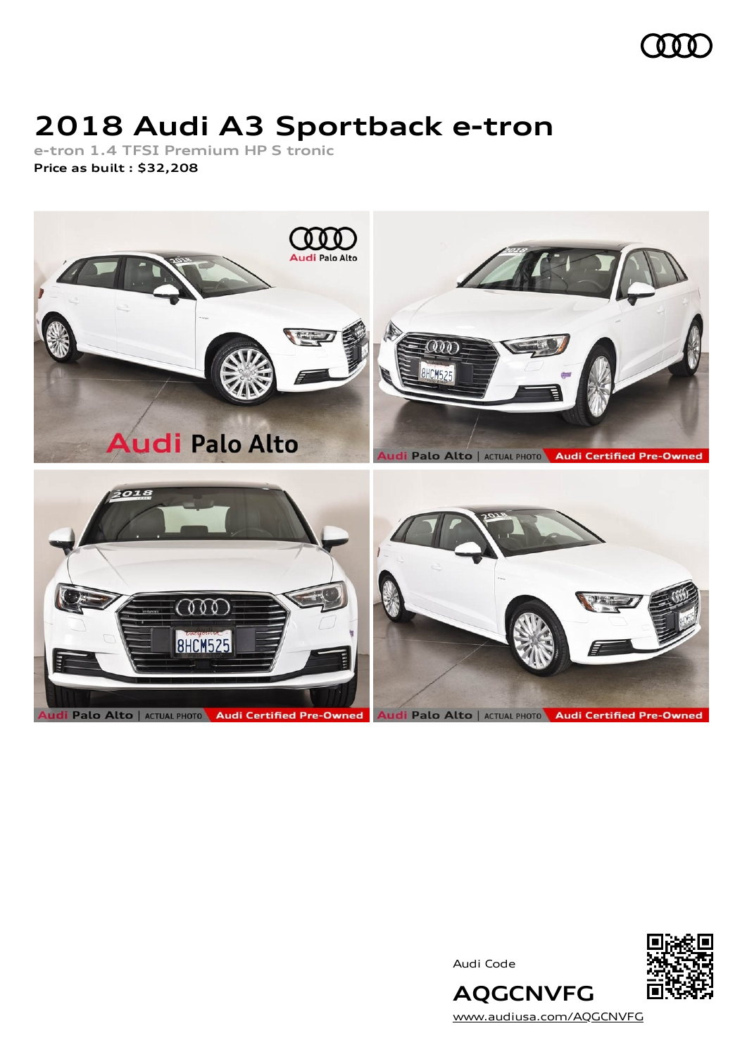

## **2018 Audi A3 Sportback e-tron**

**e-tron 1.4 TFSI Premium HP S tronic Price as built [:](#page-9-0) \$32,208**



Audi Code



**AQGCNVFG** [www.audiusa.com/AQGCNVFG](https://www.audiusa.com/AQGCNVFG)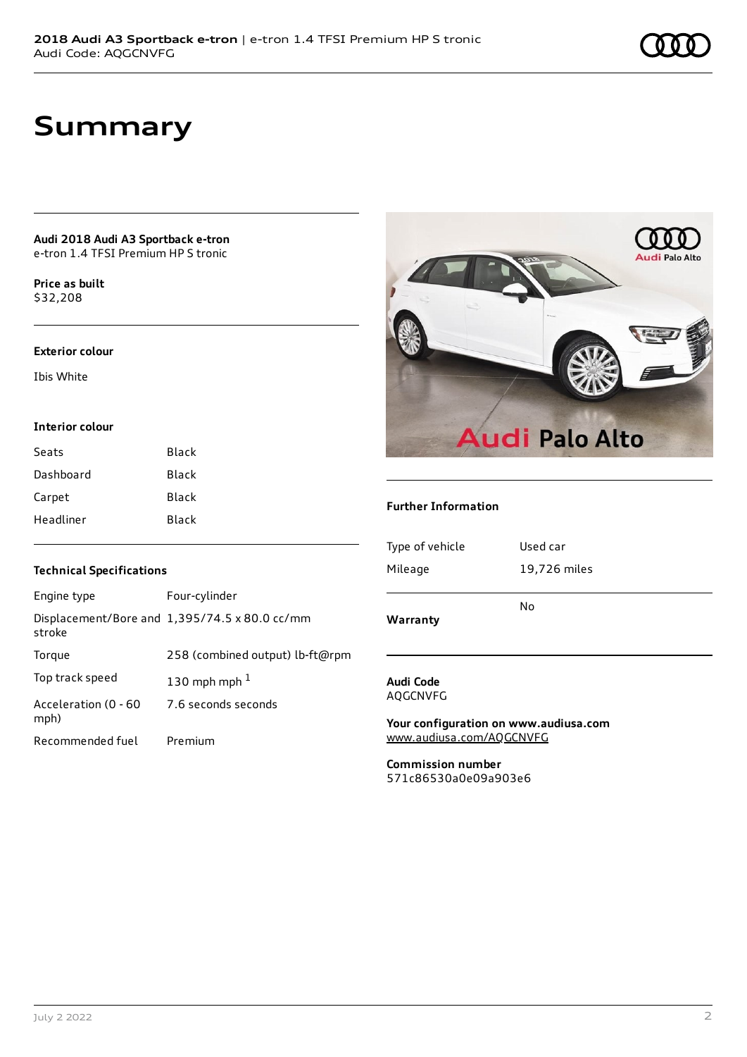## **Summary**

#### **Audi 2018 Audi A3 Sportback e-tron** e-tron 1.4 TFSI Premium HP S tronic

**Price as buil[t](#page-9-0)** \$32,208

### **Exterior colour**

Ibis White

### **Interior colour**

| Seats     | Black |
|-----------|-------|
| Dashboard | Black |
| Carpet    | Black |
| Headliner | Black |



### **Further Information**

| Warranty        | No           |
|-----------------|--------------|
| Mileage         | 19,726 miles |
| Type of vehicle | Used car     |

### **Audi Code** AQGCNVFG

**Your configuration on www.audiusa.com** [www.audiusa.com/AQGCNVFG](https://www.audiusa.com/AQGCNVFG)

**Commission number** 571c86530a0e09a903e6

### **Technical Specifications**

| Engine type                  | Four-cylinder                                 |
|------------------------------|-----------------------------------------------|
| stroke                       | Displacement/Bore and 1,395/74.5 x 80.0 cc/mm |
| Torque                       | 258 (combined output) lb-ft@rpm               |
| Top track speed              | 130 mph mph $1$                               |
| Acceleration (0 - 60<br>mph) | 7.6 seconds seconds                           |
| Recommended fuel             | Premium                                       |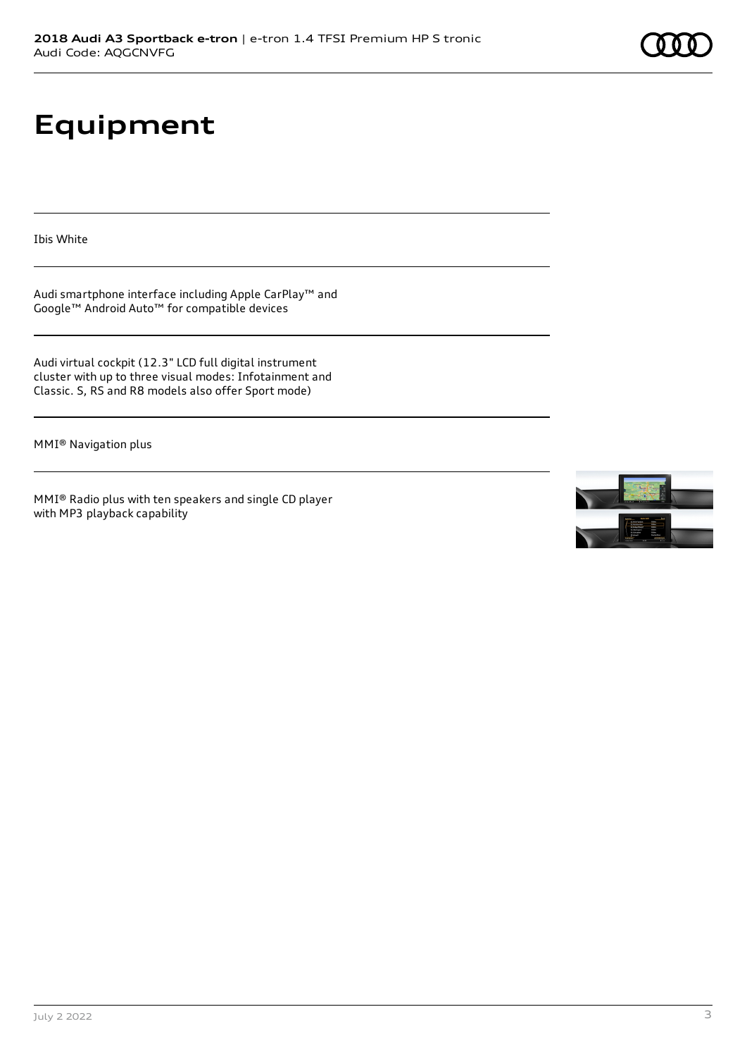# **Equipment**

Ibis White

Audi smartphone interface including Apple CarPlay™ and Google™ Android Auto™ for compatible devices

Audi virtual cockpit (12.3" LCD full digital instrument cluster with up to three visual modes: Infotainment and Classic. S, RS and R8 models also offer Sport mode)

MMI® Navigation plus

MMI® Radio plus with ten speakers and single CD player with MP3 playback capability

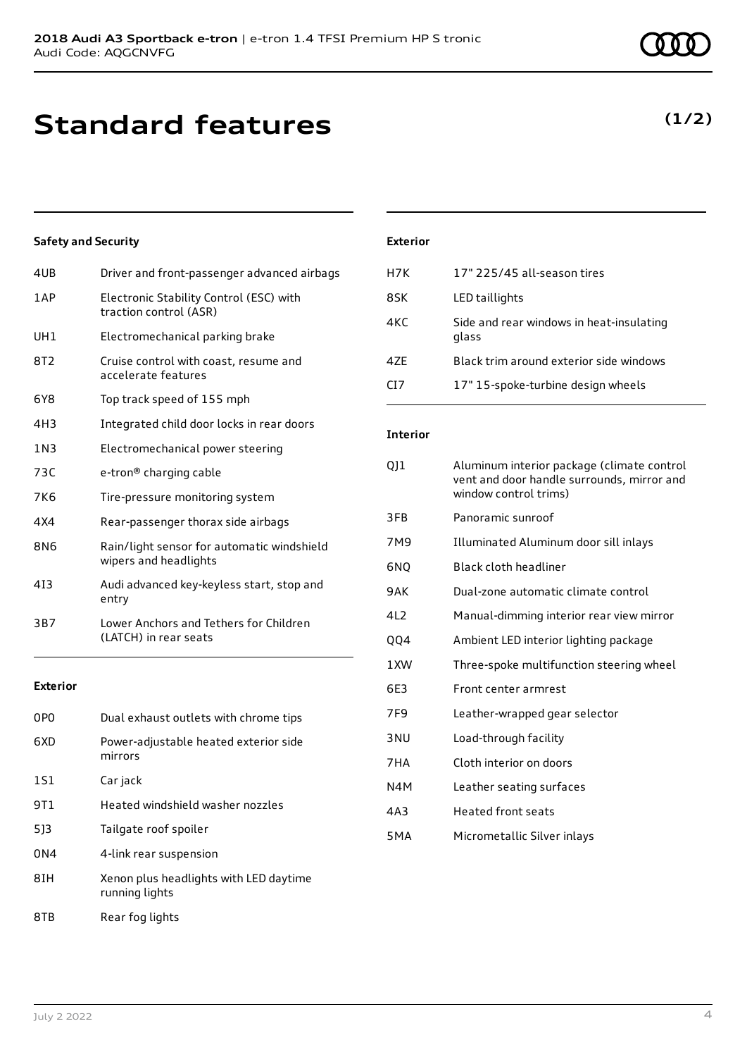# **Standard features**

### **Safety and Security**

| 4UB   | Driver and front-passenger advanced airbags                         |
|-------|---------------------------------------------------------------------|
| 1AP   | Electronic Stability Control (ESC) with<br>traction control (ASR)   |
| UH1   | Electromechanical parking brake                                     |
| 8T2   | Cruise control with coast, resume and<br>accelerate features        |
| 6Y8   | Top track speed of 155 mph                                          |
| 4H3   | Integrated child door locks in rear doors                           |
| 1 N 3 | Electromechanical power steering                                    |
| 73C   | e-tron <sup>®</sup> charging cable                                  |
| 7K6   | Tire-pressure monitoring system                                     |
| 4X4   | Rear-passenger thorax side airbags                                  |
| 8N6   | Rain/light sensor for automatic windshield<br>wipers and headlights |
| 413   | Audi advanced key-keyless start, stop and<br>entry                  |
| 3B7   | Lower Anchors and Tethers for Children<br>(LATCH) in rear seats     |
|       |                                                                     |

### **Exterior**

| 0P <sub>0</sub> | Dual exhaust outlets with chrome tips                    |
|-----------------|----------------------------------------------------------|
| 6XD             | Power-adjustable heated exterior side<br>mirrors         |
| 1S1             | Car jack                                                 |
| 9T1             | Heated windshield washer nozzles                         |
| 513             | Tailgate roof spoiler                                    |
| 0 <sub>N4</sub> | 4-link rear suspension                                   |
| 8IH             | Xenon plus headlights with LED daytime<br>running lights |
| 8TB             | Rear fog lights                                          |

### **Exterior**

| H7K  | 17" 225/45 all-season tires                       |
|------|---------------------------------------------------|
| 8SK  | LED taillights                                    |
| 4KC  | Side and rear windows in heat-insulating<br>glass |
| 47F  | Black trim around exterior side windows           |
| CT 7 | 17" 15-spoke-turbine design wheels                |

### **Interior**

| QJ1              | Aluminum interior package (climate control<br>vent and door handle surrounds, mirror and<br>window control trims) |
|------------------|-------------------------------------------------------------------------------------------------------------------|
| 3FB              | Panoramic sunroof                                                                                                 |
| 7M9              | Illuminated Aluminum door sill inlays                                                                             |
| 6NO              | Black cloth headliner                                                                                             |
| 9AK              | Dual-zone automatic climate control                                                                               |
| 4L2              | Manual-dimming interior rear view mirror                                                                          |
| QQ4              | Ambient LED interior lighting package                                                                             |
| 1XW              | Three-spoke multifunction steering wheel                                                                          |
| 6E3              | Front center armrest                                                                                              |
| 7F9              | Leather-wrapped gear selector                                                                                     |
| 3 <sub>NU</sub>  | Load-through facility                                                                                             |
| 7HA              | Cloth interior on doors                                                                                           |
| N4M              | Leather seating surfaces                                                                                          |
| 4A3              | <b>Heated front seats</b>                                                                                         |
| 5 <sub>M</sub> A | Micrometallic Silver inlays                                                                                       |
|                  |                                                                                                                   |

### **(1/2)**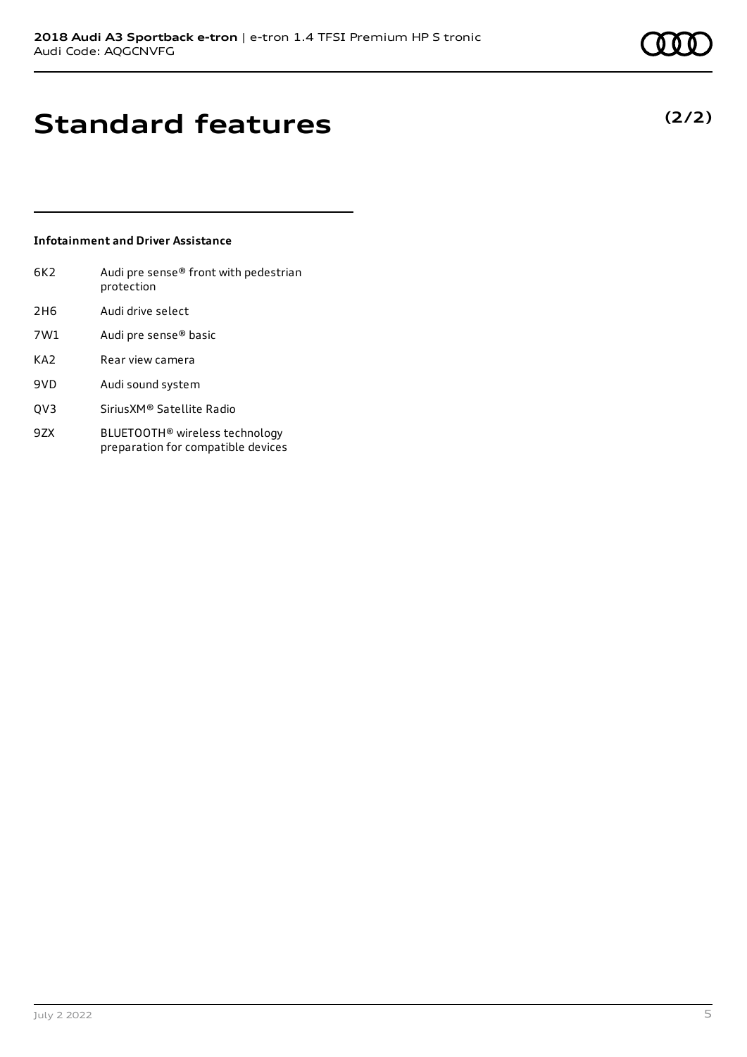**(2/2)**

# **Standard features**

### **Infotainment and Driver Assistance**

| 6K2             | Audi pre sense® front with pedestrian<br>protection |
|-----------------|-----------------------------------------------------|
| 2H <sub>6</sub> | Audi drive select                                   |
| 7W1             | Audi pre sense <sup>®</sup> basic                   |
| KA <sub>2</sub> | Rear view camera                                    |
| 9VD             | Audi sound system                                   |
| OV3             | SiriusXM® Satellite Radio                           |
|                 |                                                     |

9ZX BLUETOOTH® wireless technology preparation for compatible devices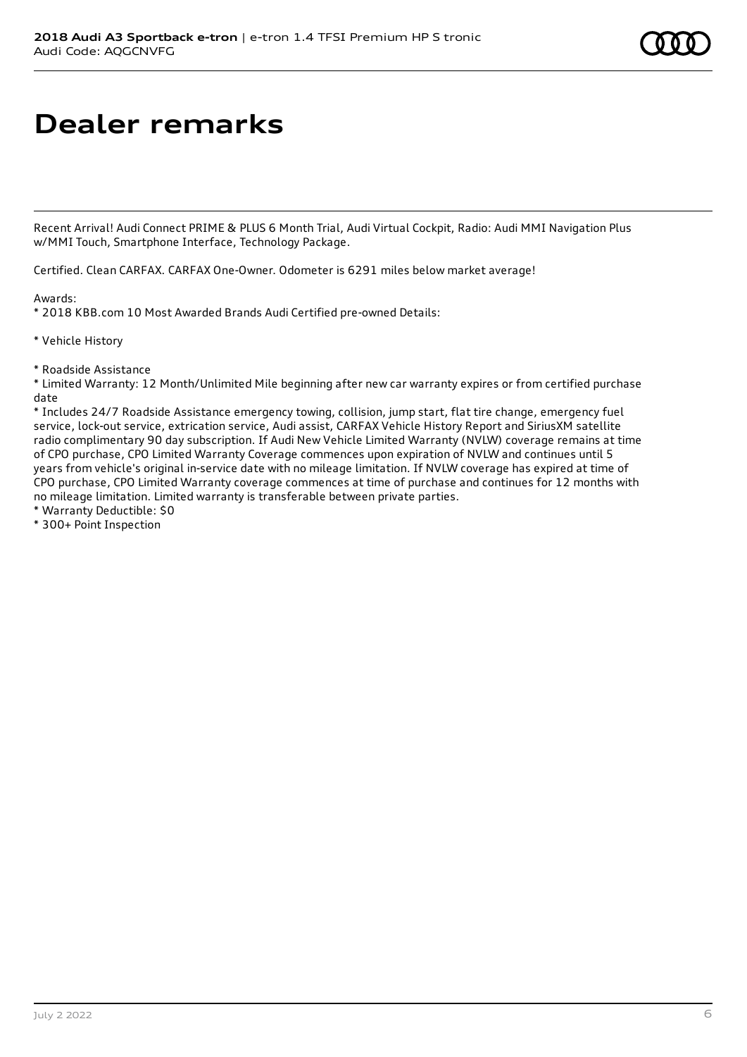# **Dealer remarks**

Recent Arrival! Audi Connect PRIME & PLUS 6 Month Trial, Audi Virtual Cockpit, Radio: Audi MMI Navigation Plus w/MMI Touch, Smartphone Interface, Technology Package.

Certified. Clean CARFAX. CARFAX One-Owner. Odometer is 6291 miles below market average!

Awards:

\* 2018 KBB.com 10 Most Awarded Brands Audi Certified pre-owned Details:

\* Vehicle History

\* Roadside Assistance

\* Limited Warranty: 12 Month/Unlimited Mile beginning after new car warranty expires or from certified purchase date

\* Includes 24/7 Roadside Assistance emergency towing, collision, jump start, flat tire change, emergency fuel service, lock-out service, extrication service, Audi assist, CARFAX Vehicle History Report and SiriusXM satellite radio complimentary 90 day subscription. If Audi New Vehicle Limited Warranty (NVLW) coverage remains at time of CPO purchase, CPO Limited Warranty Coverage commences upon expiration of NVLW and continues until 5 years from vehicle's original in-service date with no mileage limitation. If NVLW coverage has expired at time of CPO purchase, CPO Limited Warranty coverage commences at time of purchase and continues for 12 months with no mileage limitation. Limited warranty is transferable between private parties.

\* Warranty Deductible: \$0

\* 300+ Point Inspection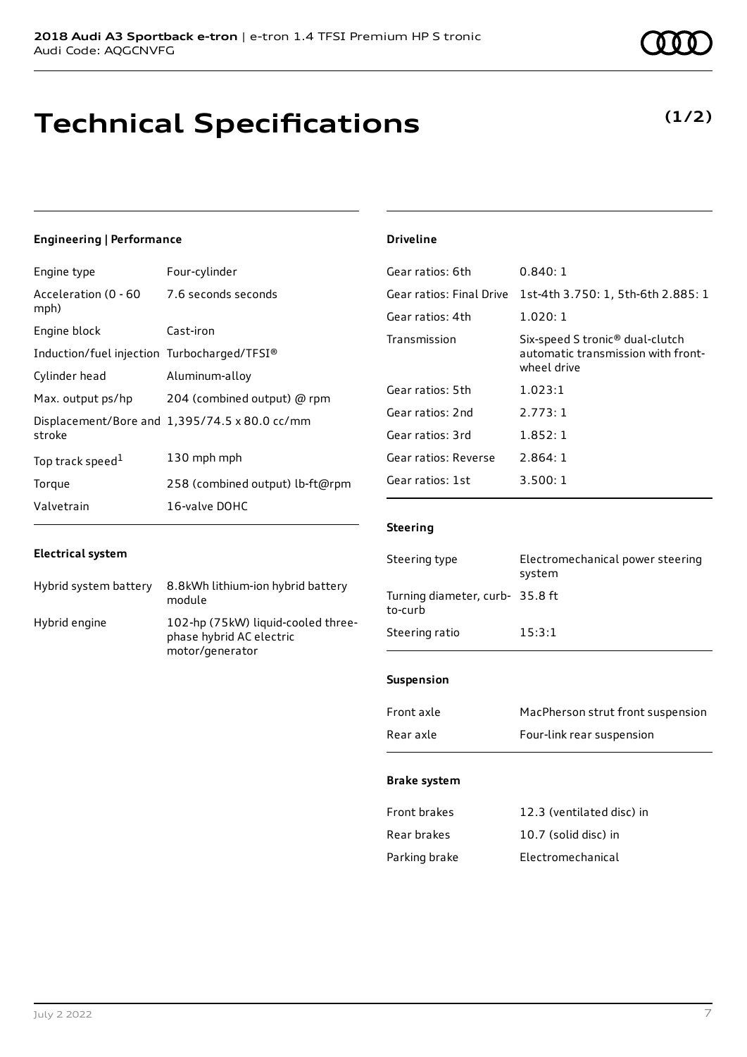## **Technical Specifications**

### **Engineering | Performance**

| Engine type                                      | Four-cylinder                                 |
|--------------------------------------------------|-----------------------------------------------|
| Acceleration (0 - 60 7.6 seconds seconds<br>mph) |                                               |
| Engine block                                     | Cast-iron                                     |
| Induction/fuel injection Turbocharged/TFSI®      |                                               |
| Cylinder head                                    | Aluminum-alloy                                |
| Max. output ps/hp                                | 204 (combined output) @ rpm                   |
| stroke                                           | Displacement/Bore and 1,395/74.5 x 80.0 cc/mm |
| Top track speed <sup>1</sup>                     | 130 mph mph                                   |
| Torque                                           | 258 (combined output) lb-ft@rpm               |
| Valvetrain                                       | 16-valve DOHC                                 |

### **Electrical system**

| Hybrid system battery | 8.8kWh lithium-ion hybrid battery<br>module                                       |
|-----------------------|-----------------------------------------------------------------------------------|
| Hybrid engine         | 102-hp (75kW) liquid-cooled three-<br>phase hybrid AC electric<br>motor/generator |

## **Driveline**

| 0.840:1                                                                                          |
|--------------------------------------------------------------------------------------------------|
| 1st-4th 3.750: 1, 5th-6th 2.885: 1                                                               |
| 1.020:1                                                                                          |
| Six-speed S tronic <sup>®</sup> dual-clutch<br>automatic transmission with front-<br>wheel drive |
| 1.023:1                                                                                          |
| 2.773:1                                                                                          |
| 1.852:1                                                                                          |
| 2.864:1                                                                                          |
| 3.500:1                                                                                          |
|                                                                                                  |

### **Steering**

| Steering type                             | Electromechanical power steering<br>system |
|-------------------------------------------|--------------------------------------------|
| Turning diameter, curb-35.8 ft<br>to-curb |                                            |
| Steering ratio                            | 15:3:1                                     |

### **Suspension**

| Front axle | MacPherson strut front suspension |
|------------|-----------------------------------|
| Rear axle  | Four-link rear suspension         |

### **Brake system**

| <b>Front brakes</b> | 12.3 (ventilated disc) in |
|---------------------|---------------------------|
| Rear brakes         | 10.7 (solid disc) in      |
| Parking brake       | Electromechanical         |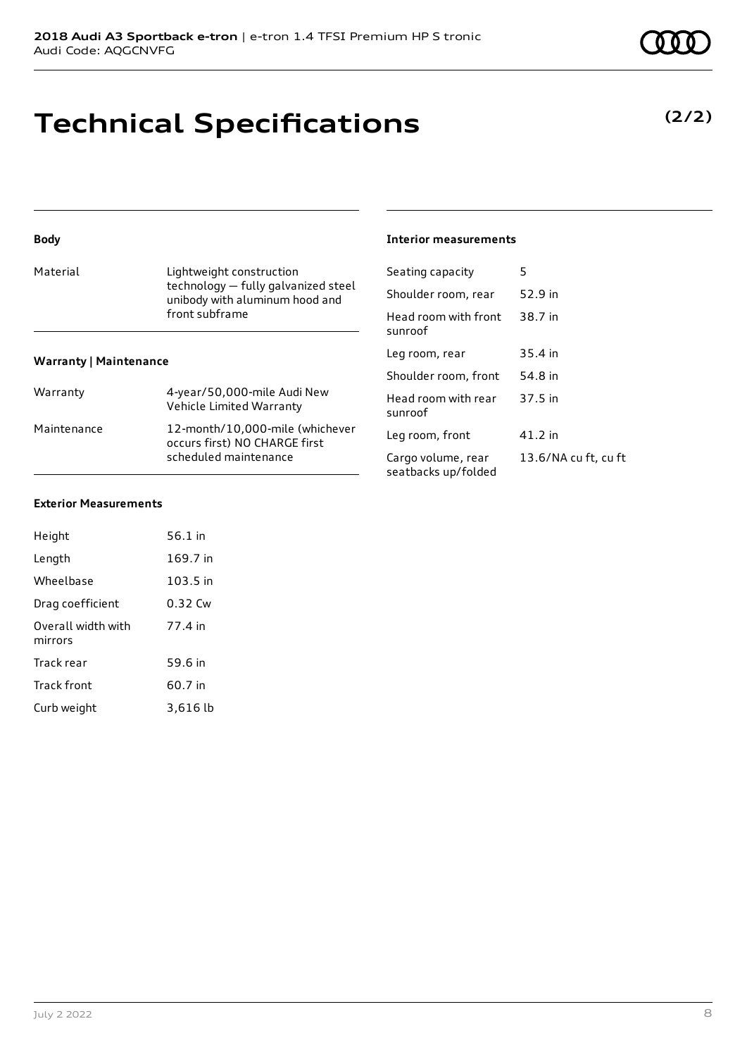technology — fully galvanized steel unibody with aluminum hood and

## **Technical Specifications**

Material **Lightweight construction** 

Warranty 4-year/50,000-mile Audi New

Maintenance 12-month/10,000-mile (whichever

front subframe

Vehicle Limited Warranty

occurs first) NO CHARGE first scheduled maintenance

## **Exterior Measurements**

**Warranty | Maintenance**

**Body**

| Height                        | 56.1 in    |
|-------------------------------|------------|
| Length                        | 169.7 in   |
| Wheelbase                     | $103.5$ in |
| Drag coefficient              | 0.32 Cw    |
| Overall width with<br>mirrors | 77.4 in    |
| Track rear                    | 59.6 in    |
| <b>Track front</b>            | 60.7 in    |
| Curb weight                   | 3,616 lb   |

#### **Interior measurements**

| Seating capacity                          | 5                    |
|-------------------------------------------|----------------------|
| Shoulder room, rear                       | 52.9 in              |
| Head room with front<br>sunroof           | 38.7 in              |
| Leg room, rear                            | 35.4 in              |
| Shoulder room, front                      | 54.8 in              |
| Head room with rear<br>sunroof            | 37.5 in              |
| Leg room, front                           | 41.2 in              |
| Cargo volume, rear<br>seatbacks up/folded | 13.6/NA cu ft, cu ft |



## **(2/2)**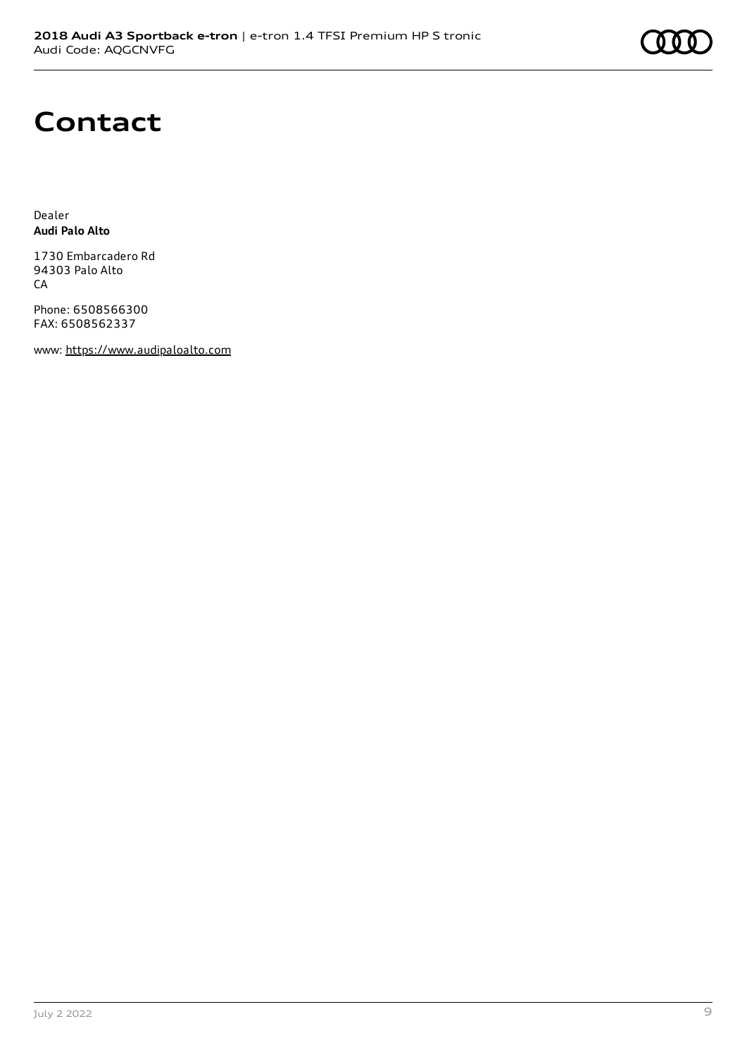## **Contact**

Dealer **Audi Palo Alto**

1730 Embarcadero Rd 94303 Palo Alto CA

Phone: 6508566300 FAX: 6508562337

www: [https://www.audipaloalto.com](https://www.audipaloalto.com/)